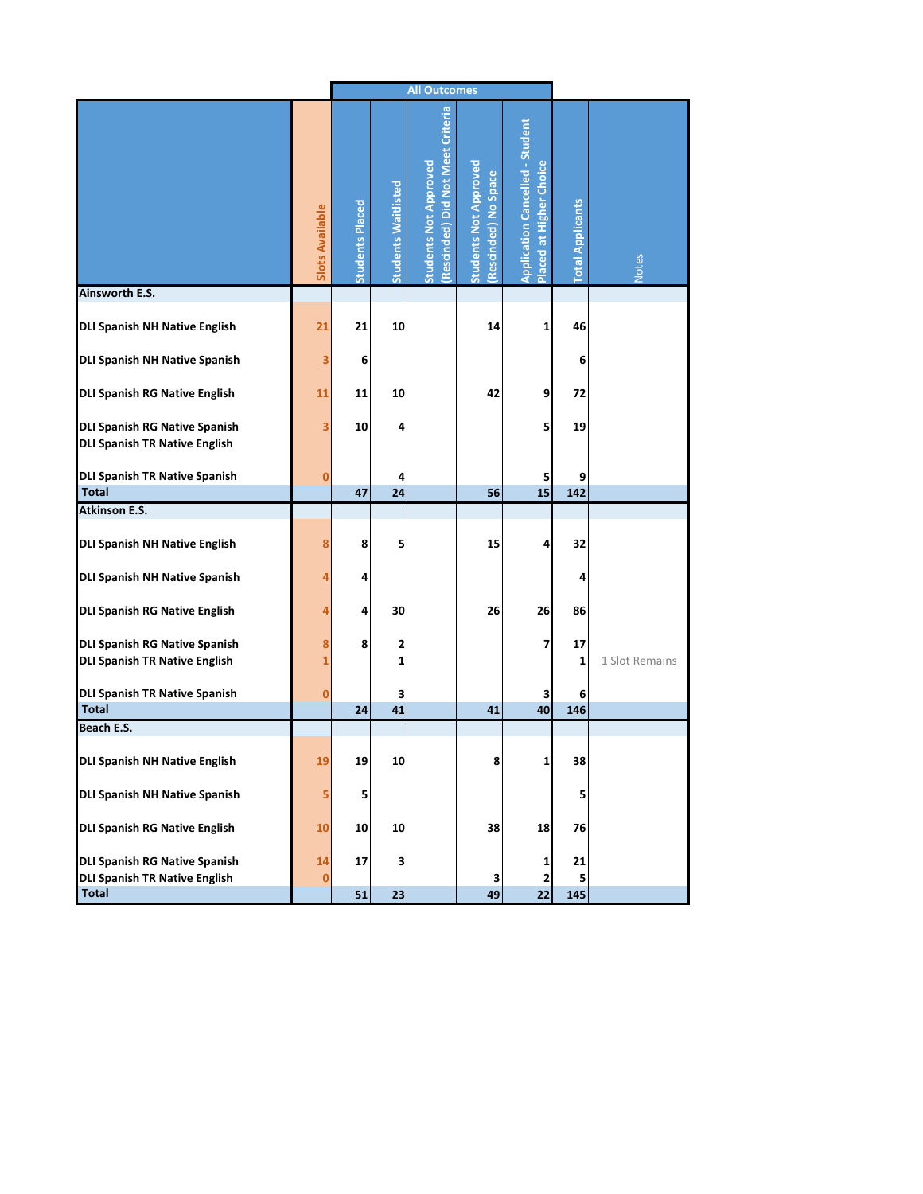|                                                                              |                 | <b>All Outcomes</b>    |                            |                                                                  |                                                     |                                                                   |                         |                |
|------------------------------------------------------------------------------|-----------------|------------------------|----------------------------|------------------------------------------------------------------|-----------------------------------------------------|-------------------------------------------------------------------|-------------------------|----------------|
|                                                                              | Slots Available | <b>Students Placed</b> | <b>Students Waitlisted</b> | Rescinded) Did Not Meet Criteria<br><b>Students Not Approved</b> | <b>Students Not Approved</b><br>Rescinded) No Space | <b>Application Cancelled - Student</b><br>Placed at Higher Choice | <b>Total Applicants</b> | Notes          |
| Ainsworth E.S.                                                               |                 |                        |                            |                                                                  |                                                     |                                                                   |                         |                |
| <b>DLI Spanish NH Native English</b>                                         | 21              | 21                     | 10                         |                                                                  | 14                                                  | 1                                                                 | 46                      |                |
| <b>DLI Spanish NH Native Spanish</b>                                         | 3               | 6                      |                            |                                                                  |                                                     |                                                                   | 6                       |                |
| <b>DLI Spanish RG Native English</b>                                         | 11              | 11                     | 10                         |                                                                  | 42                                                  | 9                                                                 | 72                      |                |
| <b>DLI Spanish RG Native Spanish</b><br><b>DLI Spanish TR Native English</b> | 3               | 10                     | 4                          |                                                                  |                                                     | 5                                                                 | 19                      |                |
| <b>DLI Spanish TR Native Spanish</b><br><b>Total</b>                         | $\bf{0}$        | 47                     | 4<br>24                    |                                                                  | 56                                                  | 5<br>15                                                           | 9<br>142                |                |
| <b>Atkinson E.S.</b>                                                         |                 |                        |                            |                                                                  |                                                     |                                                                   |                         |                |
| <b>DLI Spanish NH Native English</b>                                         | 8               | 8                      | 5                          |                                                                  | 15                                                  | 4                                                                 | 32                      |                |
| <b>DLI Spanish NH Native Spanish</b>                                         | 4               | 4                      |                            |                                                                  |                                                     |                                                                   | 4                       |                |
| <b>DLI Spanish RG Native English</b>                                         | 4               | 4                      | 30                         |                                                                  | 26                                                  | 26                                                                | 86                      |                |
| <b>DLI Spanish RG Native Spanish</b><br><b>DLI Spanish TR Native English</b> | 8<br>1          | 8                      | 2<br>1                     |                                                                  |                                                     | 7                                                                 | 17<br>1                 | 1 Slot Remains |
| <b>DLI Spanish TR Native Spanish</b><br><b>Total</b>                         | $\bf{0}$        | 24                     | з<br>41                    |                                                                  | 41                                                  | 3<br>40                                                           | 6<br>146                |                |
| Beach E.S.                                                                   |                 |                        |                            |                                                                  |                                                     |                                                                   |                         |                |
| DLI Spanish NH Native English                                                | 19              | 19                     | 10                         |                                                                  | 8                                                   | 1                                                                 | 38                      |                |
| DLI Spanish NH Native Spanish                                                | 5               | 5                      |                            |                                                                  |                                                     |                                                                   | 5                       |                |
| <b>DLI Spanish RG Native English</b>                                         | 10              | 10                     | 10                         |                                                                  | 38                                                  | 18                                                                | 76                      |                |
| <b>DLI Spanish RG Native Spanish</b><br><b>DLI Spanish TR Native English</b> | 14<br>0         | 17                     | 3                          |                                                                  | 3                                                   | 1<br>2                                                            | 21<br>5                 |                |
| <b>Total</b>                                                                 |                 | 51                     | 23                         |                                                                  | 49                                                  | 22                                                                | 145                     |                |
|                                                                              |                 |                        |                            |                                                                  |                                                     |                                                                   |                         |                |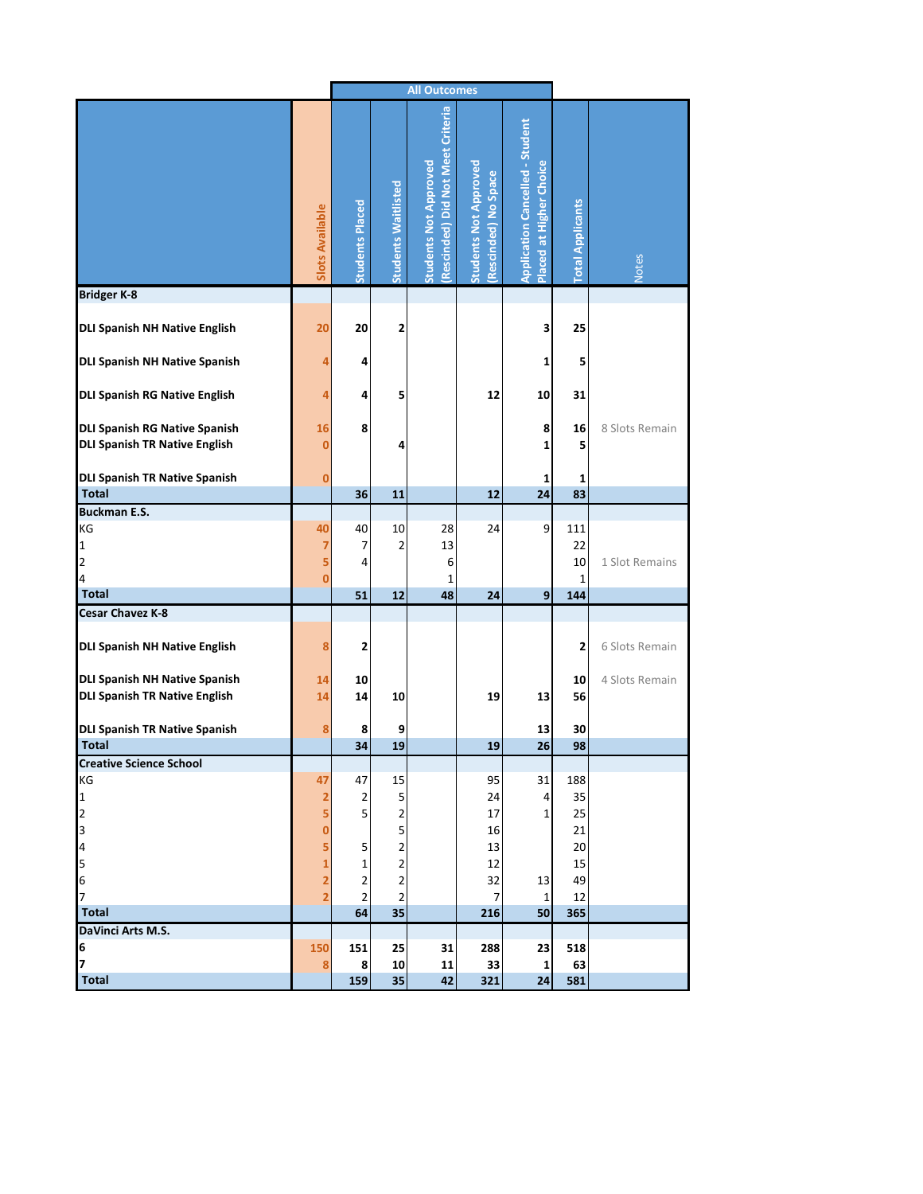|                                                                              |                                |                         | <b>All Outcomes</b>        |                                                                  |                                                     |                                                                   |                         |                |
|------------------------------------------------------------------------------|--------------------------------|-------------------------|----------------------------|------------------------------------------------------------------|-----------------------------------------------------|-------------------------------------------------------------------|-------------------------|----------------|
|                                                                              | <b>Slots Available</b>         | <b>Students Placed</b>  | <b>Students Waitlisted</b> | Rescinded) Did Not Meet Criteria<br><b>Students Not Approved</b> | <b>Students Not Approved</b><br>Rescinded) No Space | <b>Application Cancelled - Student</b><br>Placed at Higher Choice | <b>Total Applicants</b> | <b>Notes</b>   |
| <b>Bridger K-8</b>                                                           |                                |                         |                            |                                                                  |                                                     |                                                                   |                         |                |
| <b>DLI Spanish NH Native English</b>                                         | 20                             | 20                      | 2                          |                                                                  |                                                     | 3                                                                 | 25                      |                |
| <b>DLI Spanish NH Native Spanish</b>                                         | 4                              | 4                       |                            |                                                                  |                                                     | 1                                                                 | 5                       |                |
| <b>DLI Spanish RG Native English</b>                                         | 4                              | 4                       | 5                          |                                                                  | 12                                                  | 10                                                                | 31                      |                |
| <b>DLI Spanish RG Native Spanish</b><br><b>DLI Spanish TR Native English</b> | 16<br>0                        | 8                       | 4                          |                                                                  |                                                     | 8<br>1                                                            | 16<br>5                 | 8 Slots Remain |
| <b>DLI Spanish TR Native Spanish</b>                                         | 0                              |                         |                            |                                                                  |                                                     | 1                                                                 | 1                       |                |
| <b>Total</b>                                                                 |                                | 36                      | 11                         |                                                                  | 12                                                  | 24                                                                | 83                      |                |
| <b>Buckman E.S.</b><br>KG<br>1<br>$\overline{\mathbf{c}}$<br>4               | 40<br>7<br>5<br>$\overline{0}$ | 40<br>7<br>4            | 10<br>2                    | 28<br>13<br>6<br>1                                               | 24                                                  | 9                                                                 | 111<br>22<br>10<br>1    | 1 Slot Remains |
| <b>Total</b>                                                                 |                                | 51                      | 12                         | 48                                                               | 24                                                  | 9                                                                 | 144                     |                |
| Cesar Chavez K-8                                                             |                                |                         |                            |                                                                  |                                                     |                                                                   |                         |                |
| <b>DLI Spanish NH Native English</b>                                         | 8                              | 2                       |                            |                                                                  |                                                     |                                                                   | 2                       | 6 Slots Remain |
| <b>DLI Spanish NH Native Spanish</b><br><b>DLI Spanish TR Native English</b> | 14<br>14                       | 10<br>14                | 10                         |                                                                  | 19                                                  | 13                                                                | 10<br>56                | 4 Slots Remain |
| <b>DLI Spanish TR Native Spanish</b>                                         | 8                              | 8                       | 9                          |                                                                  |                                                     | 13                                                                | 30                      |                |
| <b>Total</b>                                                                 |                                | 34                      | 19                         |                                                                  | 19                                                  | 26                                                                | 98                      |                |
| <b>Creative Science School</b>                                               |                                |                         |                            |                                                                  |                                                     |                                                                   |                         |                |
| КG<br>$\mathbf{1}$                                                           | 47<br>2                        | 47<br>$\overline{2}$    | 15<br>5                    |                                                                  | 95<br>24                                            | 31<br>4                                                           | 188<br>35               |                |
| 2                                                                            | 5                              | 5                       | 2                          |                                                                  | 17                                                  | $\mathbf{1}$                                                      | 25                      |                |
| 3                                                                            | 0                              |                         | 5                          |                                                                  | 16                                                  |                                                                   | 21                      |                |
| 4                                                                            | 5                              | 5                       | $\overline{\mathbf{c}}$    |                                                                  | 13                                                  |                                                                   | 20                      |                |
| 5                                                                            | 1                              | $\mathbf 1$             | $\overline{\mathbf{c}}$    |                                                                  | 12                                                  |                                                                   | 15                      |                |
| 6                                                                            | 2                              | $\overline{\mathbf{c}}$ | $\overline{\mathbf{c}}$    |                                                                  | 32                                                  | 13                                                                | 49                      |                |
| 7<br><b>Total</b>                                                            | $\overline{2}$                 | $\overline{2}$<br>64    | 2<br>35                    |                                                                  | 7<br>216                                            | 1<br>50                                                           | 12<br>365               |                |
| DaVinci Arts M.S.                                                            |                                |                         |                            |                                                                  |                                                     |                                                                   |                         |                |
| 6                                                                            | 150                            | 151                     | 25                         | 31                                                               | 288                                                 | 23                                                                | 518                     |                |
| 7                                                                            | 8                              | 8                       | 10                         | 11                                                               | 33                                                  | 1                                                                 | 63                      |                |
| <b>Total</b>                                                                 |                                | 159                     | 35                         | 42                                                               | 321                                                 | 24                                                                | 581                     |                |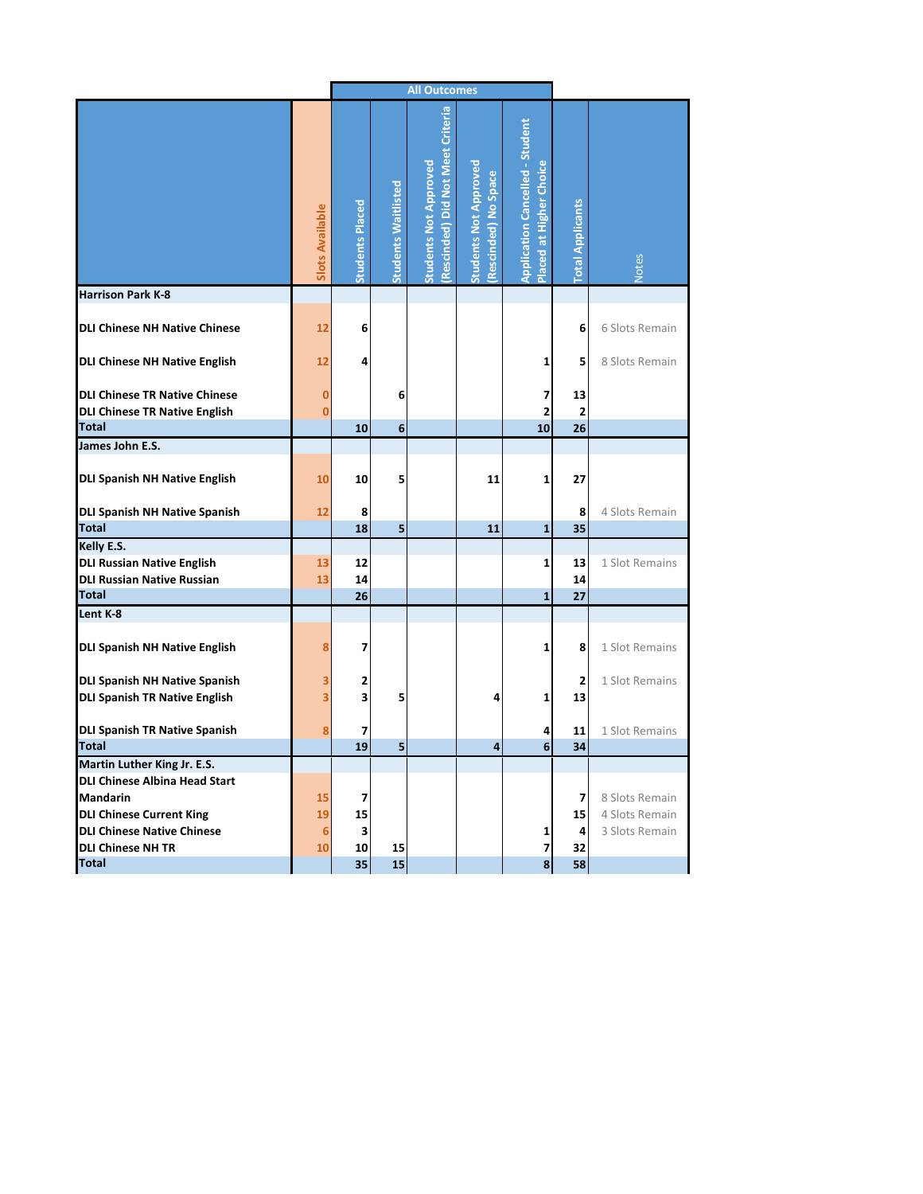|                                                                                                                           |                        | <b>All Outcomes</b>           |                            |                                                                  |                                                     |                                                                   |                         |                                                    |
|---------------------------------------------------------------------------------------------------------------------------|------------------------|-------------------------------|----------------------------|------------------------------------------------------------------|-----------------------------------------------------|-------------------------------------------------------------------|-------------------------|----------------------------------------------------|
|                                                                                                                           | <b>Slots Available</b> | <b>Students Placed</b>        | <b>Students Waitlisted</b> | Rescinded) Did Not Meet Criteria<br><b>Students Not Approved</b> | <b>Students Not Approved</b><br>Rescinded) No Space | <b>Application Cancelled - Student</b><br>Placed at Higher Choice | <b>Total Applicants</b> | Votes                                              |
| <b>Harrison Park K-8</b>                                                                                                  |                        |                               |                            |                                                                  |                                                     |                                                                   |                         |                                                    |
| <b>DLI Chinese NH Native Chinese</b>                                                                                      | 12                     | 6                             |                            |                                                                  |                                                     |                                                                   | 6                       | 6 Slots Remain                                     |
| <b>DLI Chinese NH Native English</b>                                                                                      | 12                     | 4                             |                            |                                                                  |                                                     | 1                                                                 | 5                       | 8 Slots Remain                                     |
| <b>DLI Chinese TR Native Chinese</b><br><b>DLI Chinese TR Native English</b>                                              | 0<br>0                 |                               | 6                          |                                                                  |                                                     | 7<br>$\overline{2}$                                               | 13<br>$\overline{2}$    |                                                    |
| <b>Total</b>                                                                                                              |                        | 10                            | 6                          |                                                                  |                                                     | 10                                                                | 26                      |                                                    |
| James John E.S.<br>DLI Spanish NH Native English                                                                          | 10                     | 10                            | 5                          |                                                                  | 11                                                  | $\mathbf{1}$                                                      | 27                      |                                                    |
| DLI Spanish NH Native Spanish                                                                                             | 12                     | 8                             |                            |                                                                  |                                                     |                                                                   | 8                       | 4 Slots Remain                                     |
| <b>Total</b>                                                                                                              |                        | 18                            | 5                          |                                                                  | 11                                                  | $\mathbf{1}$                                                      | 35                      |                                                    |
| Kelly E.S.<br><b>DLI Russian Native English</b><br><b>DLI Russian Native Russian</b>                                      | 13<br>13               | 12<br>14                      |                            |                                                                  |                                                     | 1                                                                 | 13<br>14                | 1 Slot Remains                                     |
| Total                                                                                                                     |                        | 26                            |                            |                                                                  |                                                     | $\mathbf{1}$                                                      | 27                      |                                                    |
| Lent K-8<br>DLI Spanish NH Native English<br><b>DLI Spanish NH Native Spanish</b><br><b>DLI Spanish TR Native English</b> | 8<br>3<br>3            | 7<br>2<br>3                   | 5                          |                                                                  | 4                                                   | 1<br>1                                                            | 8<br>2<br>13            | 1 Slot Remains<br>1 Slot Remains                   |
| <b>DLI Spanish TR Native Spanish</b><br><b>Total</b>                                                                      | 8                      | 7<br>19                       | 5                          |                                                                  | 4                                                   | 4<br>6                                                            | 11<br>34                | 1 Slot Remains                                     |
| Martin Luther King Jr. E.S.<br>DLI Chinese Albina Head Start                                                              |                        |                               |                            |                                                                  |                                                     |                                                                   |                         |                                                    |
| Mandarin<br><b>DLI Chinese Current King</b><br>DLI Chinese Native Chinese<br><b>DLI Chinese NH TR</b>                     | 15<br>19<br>6<br>10    | 7<br>15<br>$\mathbf{3}$<br>10 | 15                         |                                                                  |                                                     | 1<br>$\overline{7}$                                               | 7<br>15<br>4<br>32      | 8 Slots Remain<br>4 Slots Remain<br>3 Slots Remain |
| <b>Total</b>                                                                                                              |                        | 35                            | $15\overline{)}$           |                                                                  |                                                     | 8                                                                 | 58                      |                                                    |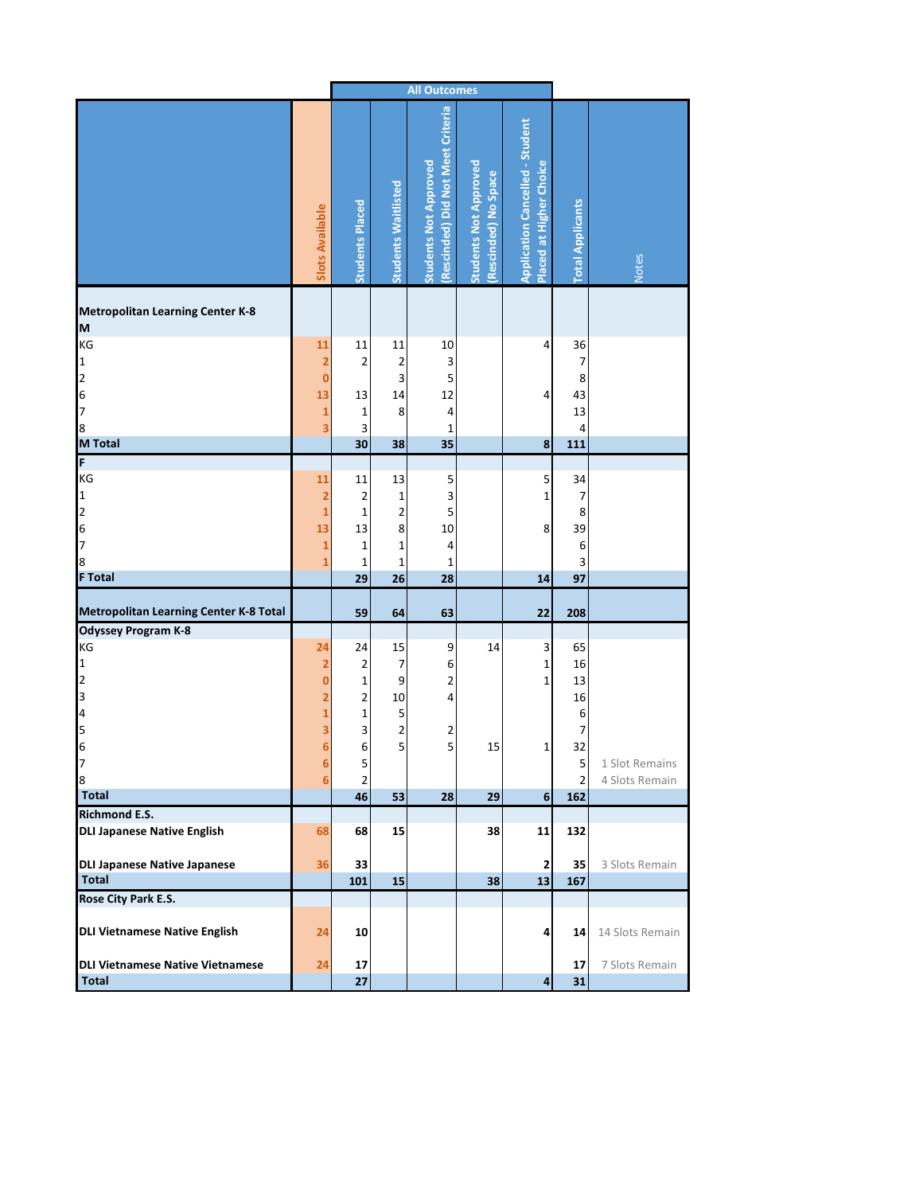|                                                                                                          |                                                               | <b>All Outcomes</b>                                                                       |                                             |                                                                  |                                                     |                                                                   |                                                           |                 |
|----------------------------------------------------------------------------------------------------------|---------------------------------------------------------------|-------------------------------------------------------------------------------------------|---------------------------------------------|------------------------------------------------------------------|-----------------------------------------------------|-------------------------------------------------------------------|-----------------------------------------------------------|-----------------|
|                                                                                                          | <b>Slots Available</b>                                        | <b>Students Placed</b>                                                                    | <b>Students Waitlisted</b>                  | Rescinded) Did Not Meet Criteria<br><b>Students Not Approved</b> | <b>Students Not Approved</b><br>Rescinded) No Space | <b>Application Cancelled - Student</b><br>Placed at Higher Choice | <b>Total Applicants</b>                                   | <b>Notes</b>    |
| <b>Metropolitan Learning Center K-8</b>                                                                  |                                                               |                                                                                           |                                             |                                                                  |                                                     |                                                                   |                                                           |                 |
| M<br>KG<br>$\mathbf{1}$<br>$\overline{a}$<br>6<br>7<br>8                                                 | 11<br>2<br>$\bf{0}$<br>13<br>$\mathbf{1}$<br>3                | 11<br>$\mathbf 2$<br>13<br>$\mathbf 1$<br>3                                               | 11<br>2<br>3<br>14<br>8                     | 10<br>3<br>5<br>12<br>4<br>1                                     |                                                     | 4<br>4                                                            | 36<br>7<br>8<br>43<br>13<br>4                             |                 |
| <b>M</b> Total                                                                                           |                                                               | 30                                                                                        | 38                                          | 35                                                               |                                                     | 8                                                                 | 111                                                       |                 |
| F<br>KG<br>$\mathbf{1}$<br>$\begin{array}{c} 2 \\ 6 \\ 7 \end{array}$<br>8<br><b>F</b> Total             | 11<br>2<br>$\mathbf{1}$<br>13<br>$\mathbf{1}$<br>$\mathbf{1}$ | 11<br>$\overline{2}$<br>$\mathbf 1$<br>13<br>$\mathbf 1$<br>$\mathbf 1$<br>29             | 13<br>1<br>2<br>8<br>1<br>$\mathbf 1$<br>26 | 5<br>3<br>5<br>10<br>4<br>1<br>28                                |                                                     | 5<br>$\mathbf{1}$<br>8<br>14                                      | 34<br>$\overline{\phantom{a}}$<br>8<br>39<br>6<br>3<br>97 |                 |
|                                                                                                          |                                                               |                                                                                           |                                             |                                                                  |                                                     |                                                                   |                                                           |                 |
| <b>Metropolitan Learning Center K-8 Total</b>                                                            |                                                               | 59                                                                                        | 64                                          | 63                                                               |                                                     | 22                                                                | 208                                                       |                 |
| <b>Odyssey Program K-8</b><br>KG<br>$\mathbf{1}$<br>$\overline{a}$<br>$\overline{a}$<br>4<br>5<br>6<br>7 | 24<br>2<br>$\bf{0}$<br>2<br>1<br>3<br>6<br>6                  | 24<br>$\mathbf 2$<br>$\mathbf 1$<br>$\overline{\mathbf{c}}$<br>$\mathbf 1$<br>3<br>6<br>5 | 15<br>7<br>9<br>10<br>5<br>2<br>5           | 9<br>6<br>2<br>4<br>2<br>5                                       | 14<br>15                                            | 3<br>$\mathbf{1}$<br>$\mathbf{1}$<br>1                            | 65<br>16<br>13<br>16<br>6<br>7<br>32<br>5                 | 1 Slot Remains  |
| 8                                                                                                        | 6                                                             | $\mathbf 2$                                                                               |                                             |                                                                  |                                                     |                                                                   | $\overline{2}$                                            | 4 Slots Remain  |
| <b>Total</b>                                                                                             |                                                               | 46                                                                                        | 53                                          | 28                                                               | 29                                                  | $6 \overline{6}$                                                  | 162                                                       |                 |
| <b>Richmond E.S.</b><br><b>DLI Japanese Native English</b>                                               | 68                                                            | 68                                                                                        | 15                                          |                                                                  | 38                                                  | 11                                                                | 132                                                       |                 |
| <b>DLI Japanese Native Japanese</b><br><b>Total</b>                                                      | 36                                                            | 33<br>101                                                                                 | 15                                          |                                                                  | 38                                                  | $\overline{2}$<br>13                                              | 35<br>167                                                 | 3 Slots Remain  |
| Rose City Park E.S.                                                                                      |                                                               |                                                                                           |                                             |                                                                  |                                                     |                                                                   |                                                           |                 |
| <b>DLI Vietnamese Native English</b>                                                                     | 24                                                            | 10                                                                                        |                                             |                                                                  |                                                     | 4                                                                 | 14                                                        | 14 Slots Remain |
| <b>DLI Vietnamese Native Vietnamese</b><br><b>Total</b>                                                  | 24                                                            | 17<br>27                                                                                  |                                             |                                                                  |                                                     | $\overline{4}$                                                    | 17<br>31                                                  | 7 Slots Remain  |
|                                                                                                          |                                                               |                                                                                           |                                             |                                                                  |                                                     |                                                                   |                                                           |                 |